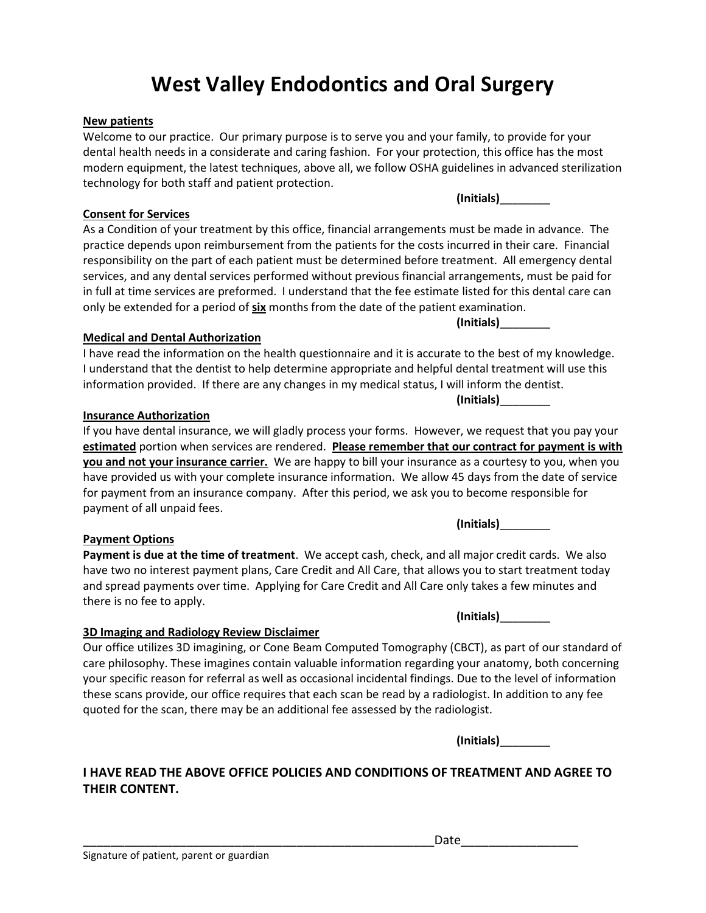# **West Valley Endodontics and Oral Surgery**

# **New patients**

Welcome to our practice. Our primary purpose is to serve you and your family, to provide for your dental health needs in a considerate and caring fashion. For your protection, this office has the most modern equipment, the latest techniques, above all, we follow OSHA guidelines in advanced sterilization technology for both staff and patient protection.

# **Consent for Services**

As a Condition of your treatment by this office, financial arrangements must be made in advance. The practice depends upon reimbursement from the patients for the costs incurred in their care. Financial responsibility on the part of each patient must be determined before treatment. All emergency dental services, and any dental services performed without previous financial arrangements, must be paid for in full at time services are preformed. I understand that the fee estimate listed for this dental care can only be extended for a period of **six** months from the date of the patient examination.

# **Medical and Dental Authorization**

I have read the information on the health questionnaire and it is accurate to the best of my knowledge. I understand that the dentist to help determine appropriate and helpful dental treatment will use this information provided. If there are any changes in my medical status, I will inform the dentist.

# **Insurance Authorization**

If you have dental insurance, we will gladly process your forms. However, we request that you pay your **estimated** portion when services are rendered. **Please remember that our contract for payment is with you and not your insurance carrier.** We are happy to bill your insurance as a courtesy to you, when you have provided us with your complete insurance information. We allow 45 days from the date of service for payment from an insurance company. After this period, we ask you to become responsible for payment of all unpaid fees.

# **Payment Options**

**Payment is due at the time of treatment**. We accept cash, check, and all major credit cards. We also have two no interest payment plans, Care Credit and All Care, that allows you to start treatment today and spread payments over time. Applying for Care Credit and All Care only takes a few minutes and there is no fee to apply.

**(Initials)**\_\_\_\_\_\_\_\_

**(Initials)**\_\_\_\_\_\_\_\_

# **3D Imaging and Radiology Review Disclaimer**

Our office utilizes 3D imagining, or Cone Beam Computed Tomography (CBCT), as part of our standard of care philosophy. These imagines contain valuable information regarding your anatomy, both concerning your specific reason for referral as well as occasional incidental findings. Due to the level of information these scans provide, our office requires that each scan be read by a radiologist. In addition to any fee quoted for the scan, there may be an additional fee assessed by the radiologist.

**(Initials)**\_\_\_\_\_\_\_\_

# **I HAVE READ THE ABOVE OFFICE POLICIES AND CONDITIONS OF TREATMENT AND AGREE TO THEIR CONTENT.**

**(Initials)**\_\_\_\_\_\_\_\_

**(Initials)**\_\_\_\_\_\_\_\_

**(Initials)**\_\_\_\_\_\_\_\_

Date <u>\_\_\_\_\_\_</u>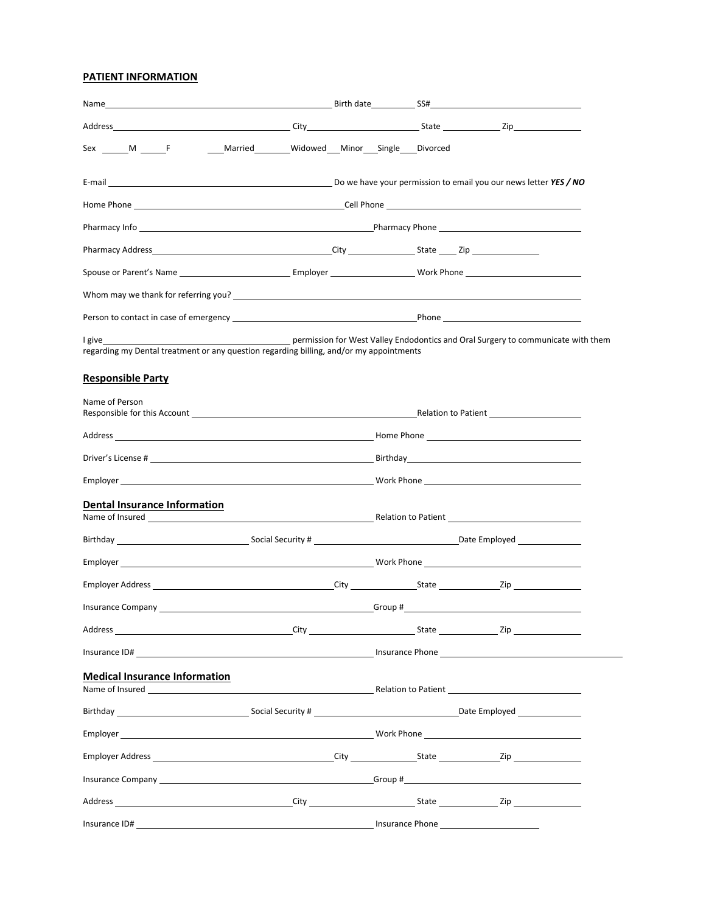# **PATIENT INFORMATION**

| Sex ______ M ______ F ______ ____ Married _________ Widowed ____ Minor ____ Single ____ Divorced                                                                                                                                          |         |                                                                                  |
|-------------------------------------------------------------------------------------------------------------------------------------------------------------------------------------------------------------------------------------------|---------|----------------------------------------------------------------------------------|
| E-mail <u>entimental controllers and the set of the set of the set of the set of the set of the set of the set of the set of the set of the set of the set of the set of the set of the set of the set of the set of the set of </u>      |         |                                                                                  |
|                                                                                                                                                                                                                                           |         |                                                                                  |
| Pharmacy Info <b>Example 2</b> Pharmacy Phone <b>Contract Contract Contract Contract Contract Contract Contract Contract Contract Contract Contract Contract Contract Contract Contract Contract Contract Contract Contract Contract </b> |         |                                                                                  |
|                                                                                                                                                                                                                                           |         |                                                                                  |
|                                                                                                                                                                                                                                           |         |                                                                                  |
|                                                                                                                                                                                                                                           |         |                                                                                  |
|                                                                                                                                                                                                                                           |         |                                                                                  |
| I give a structure of the structure of the structure of the structure of the structure of the structure of the                                                                                                                            |         | permission for West Valley Endodontics and Oral Surgery to communicate with them |
| regarding my Dental treatment or any question regarding billing, and/or my appointments                                                                                                                                                   |         |                                                                                  |
| <b>Responsible Party</b>                                                                                                                                                                                                                  |         |                                                                                  |
|                                                                                                                                                                                                                                           |         |                                                                                  |
| Name of Person                                                                                                                                                                                                                            |         |                                                                                  |
|                                                                                                                                                                                                                                           |         |                                                                                  |
|                                                                                                                                                                                                                                           |         |                                                                                  |
|                                                                                                                                                                                                                                           |         |                                                                                  |
| <b>Dental Insurance Information</b>                                                                                                                                                                                                       |         |                                                                                  |
|                                                                                                                                                                                                                                           |         |                                                                                  |
|                                                                                                                                                                                                                                           |         |                                                                                  |
|                                                                                                                                                                                                                                           |         |                                                                                  |
|                                                                                                                                                                                                                                           |         |                                                                                  |
| <b>Insurance Company</b>                                                                                                                                                                                                                  | Group # |                                                                                  |
|                                                                                                                                                                                                                                           |         |                                                                                  |
|                                                                                                                                                                                                                                           |         |                                                                                  |
| <b>Medical Insurance Information</b>                                                                                                                                                                                                      |         |                                                                                  |
|                                                                                                                                                                                                                                           |         |                                                                                  |
|                                                                                                                                                                                                                                           |         |                                                                                  |
|                                                                                                                                                                                                                                           |         |                                                                                  |
|                                                                                                                                                                                                                                           |         |                                                                                  |
|                                                                                                                                                                                                                                           |         |                                                                                  |
|                                                                                                                                                                                                                                           |         |                                                                                  |
|                                                                                                                                                                                                                                           |         |                                                                                  |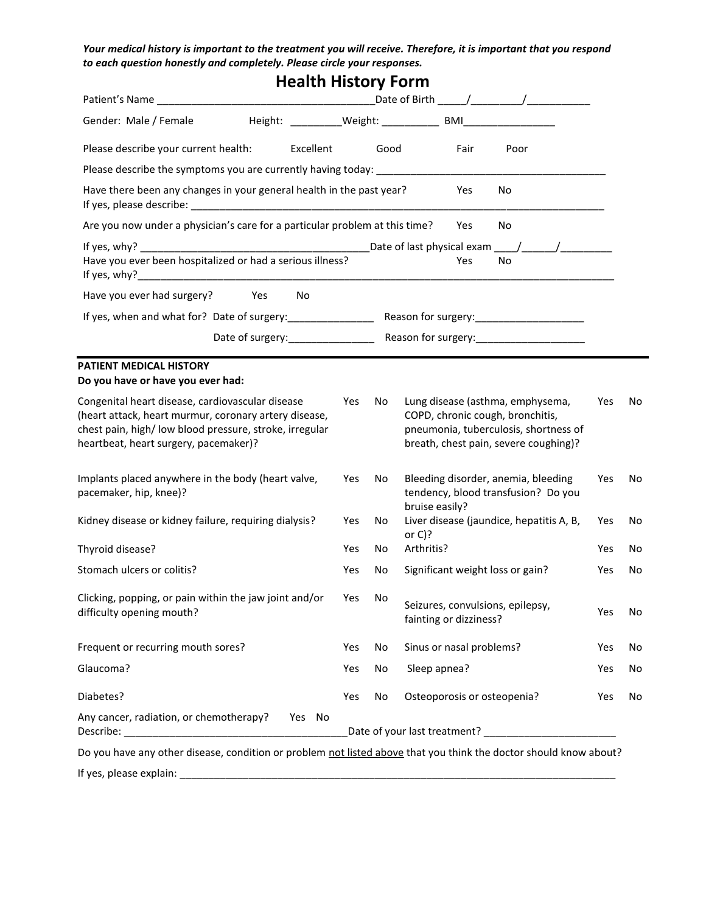*Your medical history is important to the treatment you will receive. Therefore, it is important that you respond to each question honestly and completely. Please circle your responses.*

| <b>Health History Form</b>                                                                                                                                                                                    |     |      |                |                             |                                                                                                                                                        |     |     |
|---------------------------------------------------------------------------------------------------------------------------------------------------------------------------------------------------------------|-----|------|----------------|-----------------------------|--------------------------------------------------------------------------------------------------------------------------------------------------------|-----|-----|
|                                                                                                                                                                                                               |     |      |                |                             |                                                                                                                                                        |     |     |
| Gender: Male / Female                                                                                                                                                                                         |     |      |                |                             |                                                                                                                                                        |     |     |
| Please describe your current health:<br>Excellent                                                                                                                                                             |     | Good |                | Fair                        | Poor                                                                                                                                                   |     |     |
|                                                                                                                                                                                                               |     |      |                |                             |                                                                                                                                                        |     |     |
| Have there been any changes in your general health in the past year?                                                                                                                                          |     |      |                | Yes                         | No.                                                                                                                                                    |     |     |
| Are you now under a physician's care for a particular problem at this time?                                                                                                                                   |     |      |                | Yes                         | No                                                                                                                                                     |     |     |
| Have you ever been hospitalized or had a serious illness?                                                                                                                                                     |     |      |                | Yes                         | No                                                                                                                                                     |     |     |
| Have you ever had surgery?<br>Yes<br>No                                                                                                                                                                       |     |      |                |                             |                                                                                                                                                        |     |     |
|                                                                                                                                                                                                               |     |      |                |                             |                                                                                                                                                        |     |     |
|                                                                                                                                                                                                               |     |      |                |                             |                                                                                                                                                        |     |     |
| PATIENT MEDICAL HISTORY<br>Do you have or have you ever had:                                                                                                                                                  |     |      |                |                             |                                                                                                                                                        |     |     |
| Congenital heart disease, cardiovascular disease<br>(heart attack, heart murmur, coronary artery disease,<br>chest pain, high/ low blood pressure, stroke, irregular<br>heartbeat, heart surgery, pacemaker)? | Yes | No.  |                |                             | Lung disease (asthma, emphysema,<br>COPD, chronic cough, bronchitis,<br>pneumonia, tuberculosis, shortness of<br>breath, chest pain, severe coughing)? | Yes | No. |
| Implants placed anywhere in the body (heart valve,<br>pacemaker, hip, knee)?                                                                                                                                  | Yes | No.  | bruise easily? |                             | Bleeding disorder, anemia, bleeding<br>tendency, blood transfusion? Do you                                                                             | Yes | No. |
| Kidney disease or kidney failure, requiring dialysis?                                                                                                                                                         | Yes | No   | or $C$ ?       |                             | Liver disease (jaundice, hepatitis A, B,                                                                                                               | Yes | No. |
| Thyroid disease?                                                                                                                                                                                              | Yes | No   | Arthritis?     |                             |                                                                                                                                                        | Yes | No  |
| Stomach ulcers or colitis?                                                                                                                                                                                    | Yes | No   |                |                             | Significant weight loss or gain?                                                                                                                       | Yes | No  |
| Clicking, popping, or pain within the jaw joint and/or<br>difficulty opening mouth?                                                                                                                           | Yes | No   |                | fainting or dizziness?      | Seizures, convulsions, epilepsy,                                                                                                                       | Yes | No  |
| Frequent or recurring mouth sores?                                                                                                                                                                            | Yes | No   |                | Sinus or nasal problems?    |                                                                                                                                                        | Yes | No  |
| Glaucoma?                                                                                                                                                                                                     | Yes | No   | Sleep apnea?   |                             |                                                                                                                                                        | Yes | No  |
| Diabetes?                                                                                                                                                                                                     | Yes | No   |                | Osteoporosis or osteopenia? |                                                                                                                                                        | Yes | No  |
| Any cancer, radiation, or chemotherapy?<br>Yes No                                                                                                                                                             |     |      |                |                             |                                                                                                                                                        |     |     |
| Do you have any other disease, condition or problem not listed above that you think the doctor should know about?                                                                                             |     |      |                |                             |                                                                                                                                                        |     |     |
| If yes, please explain:                                                                                                                                                                                       |     |      |                |                             |                                                                                                                                                        |     |     |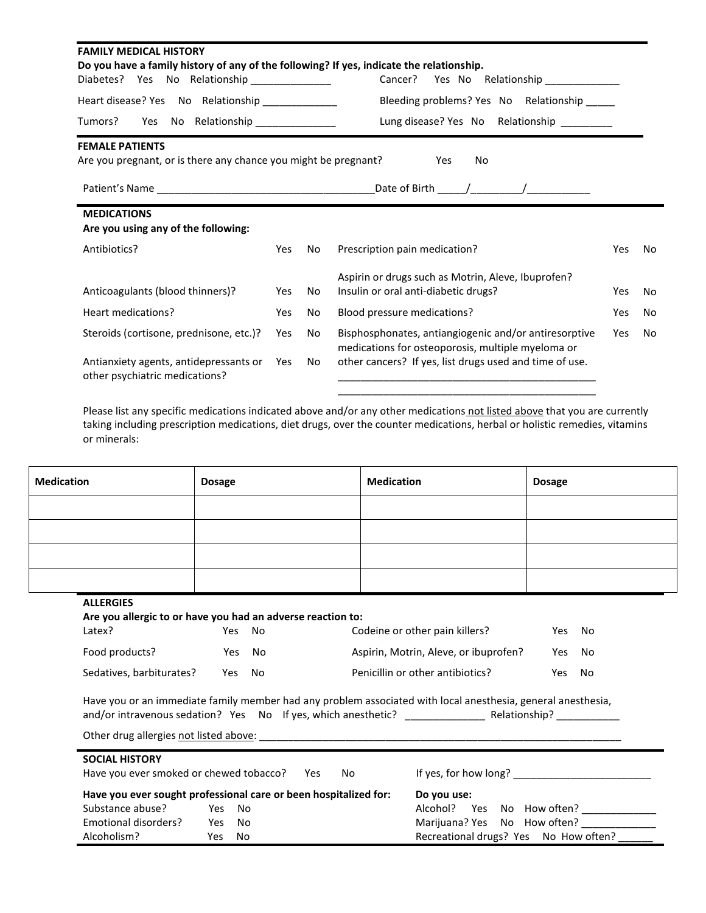| <b>FAMILY MEDICAL HISTORY</b><br>Do you have a family history of any of the following? If yes, indicate the relationship. |     |    |                                                                                                            |     |     |
|---------------------------------------------------------------------------------------------------------------------------|-----|----|------------------------------------------------------------------------------------------------------------|-----|-----|
| Diabetes? Yes No Relationship ______________<br>Cancer?<br>Yes No Relationship _____________                              |     |    |                                                                                                            |     |     |
| Heart disease? Yes No Relationship _____________                                                                          |     |    | Bleeding problems? Yes No Relationship _____                                                               |     |     |
| Tumors? Yes No Relationship<br>Lung disease? Yes No Relationship ________                                                 |     |    |                                                                                                            |     |     |
| <b>FEMALE PATIENTS</b><br>Are you pregnant, or is there any chance you might be pregnant?                                 |     |    | No<br>Yes.                                                                                                 |     |     |
|                                                                                                                           |     |    |                                                                                                            |     |     |
| <b>MEDICATIONS</b><br>Are you using any of the following:                                                                 |     |    |                                                                                                            |     |     |
| Antibiotics?                                                                                                              | Yes | No | Prescription pain medication?                                                                              | Yes | No  |
| Anticoagulants (blood thinners)?                                                                                          | Yes | No | Aspirin or drugs such as Motrin, Aleve, Ibuprofen?<br>Insulin or oral anti-diabetic drugs?                 | Yes | No. |
| Heart medications?                                                                                                        | Yes | No | Blood pressure medications?                                                                                | Yes | No. |
| Steroids (cortisone, prednisone, etc.)?                                                                                   | Yes | No | Bisphosphonates, antiangiogenic and/or antiresorptive<br>medications for osteoporosis, multiple myeloma or | Yes | No. |
| Antianxiety agents, antidepressants or<br>other psychiatric medications?                                                  | Yes | No | other cancers? If yes, list drugs used and time of use.                                                    |     |     |

Please list any specific medications indicated above and/or any other medications not listed above that you are currently taking including prescription medications, diet drugs, over the counter medications, herbal or holistic remedies, vitamins or minerals:

| <b>Medication</b>                                                                         | <b>Dosage</b>  |        | <b>Medication</b>                                                                                            | <b>Dosage</b> |
|-------------------------------------------------------------------------------------------|----------------|--------|--------------------------------------------------------------------------------------------------------------|---------------|
|                                                                                           |                |        |                                                                                                              |               |
|                                                                                           |                |        |                                                                                                              |               |
|                                                                                           |                |        |                                                                                                              |               |
|                                                                                           |                |        |                                                                                                              |               |
| <b>ALLERGIES</b><br>Are you allergic to or have you had an adverse reaction to:<br>Latex? |                | Yes No | Codeine or other pain killers?                                                                               | Yes No        |
| Food products?                                                                            | and the Yes No |        | Aspirin, Motrin, Aleve, or ibuprofen?                                                                        | Yes No        |
| Sedatives, barbiturates? Yes No                                                           |                |        | Penicillin or other antibiotics?                                                                             | Yes No        |
|                                                                                           |                |        | Have you or an immediate family member had any problem associated with local anesthesia, general anesthesia, |               |
|                                                                                           |                |        |                                                                                                              |               |

| Have you ever smoked or chewed tobacco? |     | No<br>Yes.                                                       | If yes, for how long?                 |
|-----------------------------------------|-----|------------------------------------------------------------------|---------------------------------------|
|                                         |     | Have you ever sought professional care or been hospitalized for: | Do you use:                           |
| Substance abuse?                        |     | Yes No                                                           | Alcohol? Yes No How often?            |
| Emotional disorders?                    |     | Yes No                                                           | Marijuana? Yes No How often?          |
| Alcoholism?                             | Yes | No                                                               | Recreational drugs? Yes No How often? |

**SOCIAL HISTORY**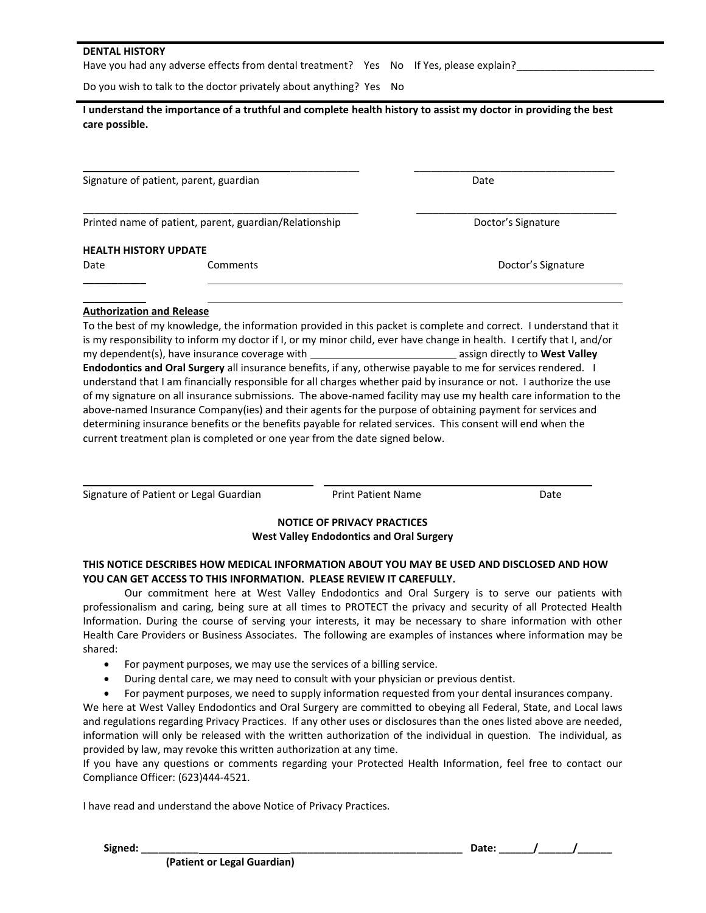#### **DENTAL HISTORY**

Have you had any adverse effects from dental treatment? Yes No If Yes, please explain?

Do you wish to talk to the doctor privately about anything? Yes No

| I understand the importance of a truthful and complete health history to assist my doctor in providing the best |  |
|-----------------------------------------------------------------------------------------------------------------|--|
| care possible.                                                                                                  |  |

Signature of patient, parent, guardian Date Date Controller and Date Date Date

Printed name of patient, parent, guardian/Relationship **Discussion Discussion** Doctor's Signature

#### **HEALTH HISTORY UPDATE**

 $\frac{1}{2}$  $\mathcal{L}$ 

#### **Authorization and Release**

To the best of my knowledge, the information provided in this packet is complete and correct. I understand that it is my responsibility to inform my doctor if I, or my minor child, ever have change in health. I certify that I, and/or my dependent(s), have insurance coverage with **and assign directly to West Valley** assign directly to **West Valley Endodontics and Oral Surgery** all insurance benefits, if any, otherwise payable to me for services rendered. I understand that I am financially responsible for all charges whether paid by insurance or not. I authorize the use of my signature on all insurance submissions. The above-named facility may use my health care information to the above-named Insurance Company(ies) and their agents for the purpose of obtaining payment for services and determining insurance benefits or the benefits payable for related services. This consent will end when the current treatment plan is completed or one year from the date signed below.

| Signature of Patient or Legal Guardian | <b>Print Patient Name</b> | Date |
|----------------------------------------|---------------------------|------|
|                                        |                           |      |

# **NOTICE OF PRIVACY PRACTICES West Valley Endodontics and Oral Surgery**

# **THIS NOTICE DESCRIBES HOW MEDICAL INFORMATION ABOUT YOU MAY BE USED AND DISCLOSED AND HOW YOU CAN GET ACCESS TO THIS INFORMATION. PLEASE REVIEW IT CAREFULLY.**

Our commitment here at West Valley Endodontics and Oral Surgery is to serve our patients with professionalism and caring, being sure at all times to PROTECT the privacy and security of all Protected Health Information. During the course of serving your interests, it may be necessary to share information with other Health Care Providers or Business Associates. The following are examples of instances where information may be shared:

- For payment purposes, we may use the services of a billing service.
- During dental care, we may need to consult with your physician or previous dentist.
- For payment purposes, we need to supply information requested from your dental insurances company.

We here at West Valley Endodontics and Oral Surgery are committed to obeying all Federal, State, and Local laws and regulations regarding Privacy Practices. If any other uses or disclosures than the ones listed above are needed, information will only be released with the written authorization of the individual in question. The individual, as provided by law, may revoke this written authorization at any time.

If you have any questions or comments regarding your Protected Health Information, feel free to contact our Compliance Officer: (623)444-4521.

I have read and understand the above Notice of Privacy Practices.

**Signed: \_\_\_\_\_\_\_\_\_\_ \_\_\_\_\_\_\_\_\_\_\_\_\_\_\_\_\_\_\_\_\_\_\_\_\_\_\_\_\_\_ Date: \_\_\_\_\_\_/\_\_\_\_\_\_/\_\_\_\_\_\_**

\_\_\_\_\_\_\_\_\_\_\_\_ \_\_\_\_\_\_\_\_\_\_\_\_\_\_\_\_\_\_\_\_\_\_\_\_\_\_\_\_\_\_\_\_\_\_\_

\_\_\_\_\_\_\_\_\_\_\_\_\_\_\_\_\_\_\_\_\_\_\_\_\_\_\_\_\_\_\_\_\_\_\_\_\_\_\_\_\_\_\_\_\_\_\_\_ \_\_\_\_\_\_\_\_\_\_\_\_\_\_\_\_\_\_\_\_\_\_\_\_\_\_\_\_\_\_\_\_\_\_\_

Date Comments Commets Commets Commets and Dector's Signature